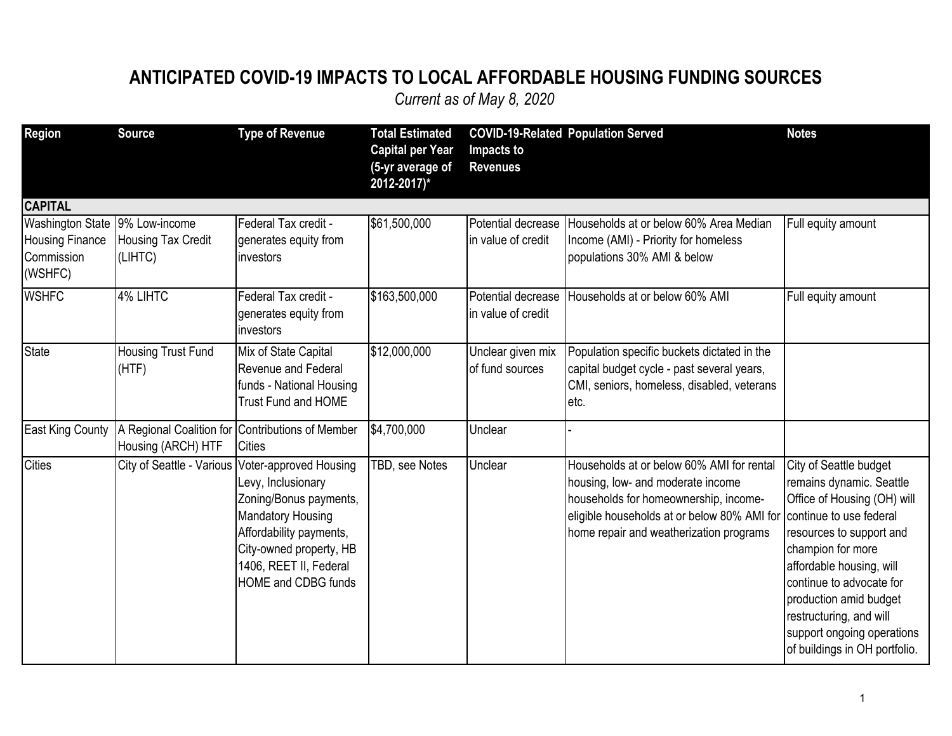## **ANTICIPATED COVID-19 IMPACTS TO LOCAL AFFORDABLE HOUSING FUNDING SOURCES**

| <b>Region</b>                                                                       | <b>Source</b>                        | <b>Type of Revenue</b>                                                                                                                                                                                                              | <b>Total Estimated</b><br><b>Capital per Year</b><br>(5-yr average of<br>2012-2017)* | Impacts to<br><b>Revenues</b>            | <b>COVID-19-Related Population Served</b>                                                                                                                                                                                                 | <b>Notes</b>                                                                                                                                                                                                                                                                                                   |
|-------------------------------------------------------------------------------------|--------------------------------------|-------------------------------------------------------------------------------------------------------------------------------------------------------------------------------------------------------------------------------------|--------------------------------------------------------------------------------------|------------------------------------------|-------------------------------------------------------------------------------------------------------------------------------------------------------------------------------------------------------------------------------------------|----------------------------------------------------------------------------------------------------------------------------------------------------------------------------------------------------------------------------------------------------------------------------------------------------------------|
| <b>CAPITAL</b>                                                                      |                                      |                                                                                                                                                                                                                                     |                                                                                      |                                          |                                                                                                                                                                                                                                           |                                                                                                                                                                                                                                                                                                                |
| Washington State   9% Low-income<br><b>Housing Finance</b><br>Commission<br>(WSHFC) | <b>Housing Tax Credit</b><br>(LIHTC) | Federal Tax credit -<br>generates equity from<br>investors                                                                                                                                                                          | \$61,500,000                                                                         | Potential decrease<br>in value of credit | Households at or below 60% Area Median<br>Income (AMI) - Priority for homeless<br>populations 30% AMI & below                                                                                                                             | Full equity amount                                                                                                                                                                                                                                                                                             |
| <b>WSHFC</b>                                                                        | 4% LIHTC                             | Federal Tax credit -<br>generates equity from<br>investors                                                                                                                                                                          | \$163,500,000                                                                        | Potential decrease<br>in value of credit | Households at or below 60% AMI                                                                                                                                                                                                            | Full equity amount                                                                                                                                                                                                                                                                                             |
| <b>State</b>                                                                        | Housing Trust Fund<br>(HTF)          | Mix of State Capital<br><b>Revenue and Federal</b><br>funds - National Housing<br><b>Trust Fund and HOME</b>                                                                                                                        | \$12,000,000                                                                         | Unclear given mix<br>of fund sources     | Population specific buckets dictated in the<br>capital budget cycle - past several years,<br>CMI, seniors, homeless, disabled, veterans<br>letc.                                                                                          |                                                                                                                                                                                                                                                                                                                |
| <b>East King County</b>                                                             | Housing (ARCH) HTF                   | A Regional Coalition for Contributions of Member<br><b>Cities</b>                                                                                                                                                                   | \$4,700,000                                                                          | Unclear                                  |                                                                                                                                                                                                                                           |                                                                                                                                                                                                                                                                                                                |
| <b>Cities</b>                                                                       |                                      | City of Seattle - Various Voter-approved Housing<br>Levy, Inclusionary<br>Zoning/Bonus payments,<br>Mandatory Housing<br>Affordability payments,<br>City-owned property, HB<br>1406, REET II, Federal<br><b>HOME and CDBG funds</b> | TBD, see Notes                                                                       | Unclear                                  | Households at or below 60% AMI for rental<br>housing, low- and moderate income<br>households for homeownership, income-<br>eligible households at or below 80% AMI for continue to use federal<br>home repair and weatherization programs | City of Seattle budget<br>remains dynamic. Seattle<br>Office of Housing (OH) will<br>resources to support and<br>champion for more<br>affordable housing, will<br>continue to advocate for<br>production amid budget<br>restructuring, and will<br>support ongoing operations<br>of buildings in OH portfolio. |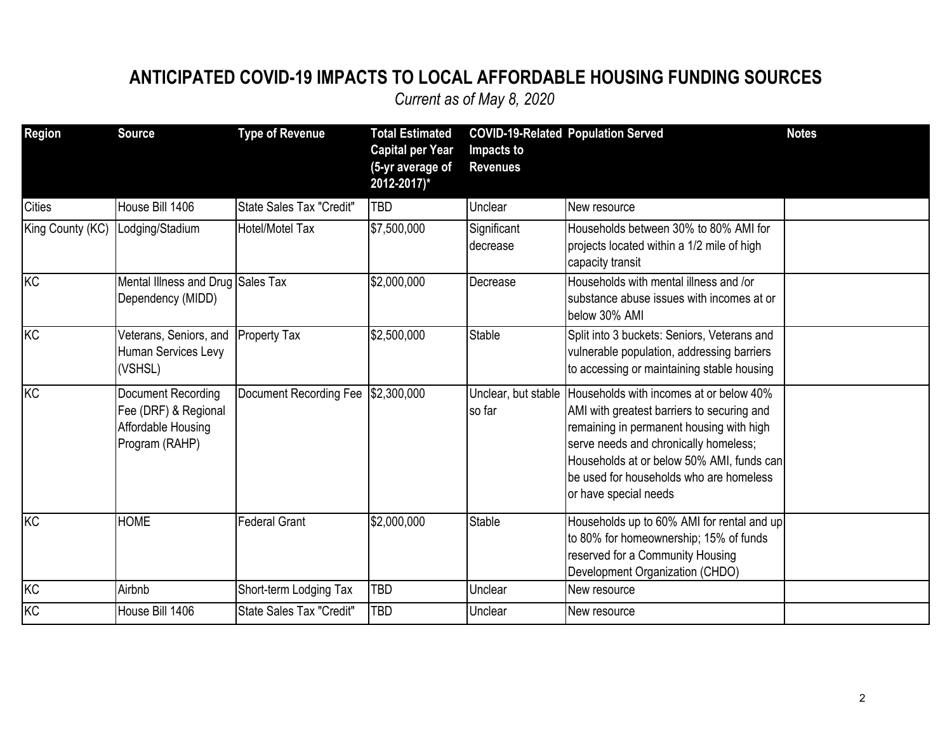### **ANTICIPATED COVID-19 IMPACTS TO LOCAL AFFORDABLE HOUSING FUNDING SOURCES**

| Region           | <b>Source</b>                                                                      | <b>Type of Revenue</b>             | <b>Total Estimated</b><br><b>Capital per Year</b><br>(5-yr average of<br>2012-2017)* | Impacts to<br><b>Revenues</b> | <b>COVID-19-Related Population Served</b>                                                                                                                                                                                                                                                                       | <b>Notes</b> |
|------------------|------------------------------------------------------------------------------------|------------------------------------|--------------------------------------------------------------------------------------|-------------------------------|-----------------------------------------------------------------------------------------------------------------------------------------------------------------------------------------------------------------------------------------------------------------------------------------------------------------|--------------|
| <b>Cities</b>    | House Bill 1406                                                                    | State Sales Tax "Credit"           | <b>TBD</b>                                                                           | Unclear                       | New resource                                                                                                                                                                                                                                                                                                    |              |
| King County (KC) | Lodging/Stadium                                                                    | Hotel/Motel Tax                    | \$7,500,000                                                                          | Significant<br>decrease       | Households between 30% to 80% AMI for<br>projects located within a 1/2 mile of high<br>capacity transit                                                                                                                                                                                                         |              |
| KC               | Mental Illness and Drug Sales Tax<br>Dependency (MIDD)                             |                                    | \$2,000,000                                                                          | Decrease                      | Households with mental illness and /or<br>substance abuse issues with incomes at or<br>below 30% AMI                                                                                                                                                                                                            |              |
| KC               | Veterans, Seniors, and<br>Human Services Levy<br>(VSHSL)                           | Property Tax                       | \$2,500,000                                                                          | Stable                        | Split into 3 buckets: Seniors, Veterans and<br>vulnerable population, addressing barriers<br>to accessing or maintaining stable housing                                                                                                                                                                         |              |
| KC               | Document Recording<br>Fee (DRF) & Regional<br>Affordable Housing<br>Program (RAHP) | Document Recording Fee \$2,300,000 |                                                                                      | so far                        | Unclear, but stable Households with incomes at or below 40%<br>AMI with greatest barriers to securing and<br>remaining in permanent housing with high<br>serve needs and chronically homeless;<br>Households at or below 50% AMI, funds can<br>be used for households who are homeless<br>or have special needs |              |
| KC               | <b>HOME</b>                                                                        | <b>Federal Grant</b>               | \$2,000,000                                                                          | Stable                        | Households up to 60% AMI for rental and up<br>to 80% for homeownership; 15% of funds<br>reserved for a Community Housing<br>Development Organization (CHDO)                                                                                                                                                     |              |
| KC               | Airbnb                                                                             | Short-term Lodging Tax             | <b>TBD</b>                                                                           | Unclear                       | New resource                                                                                                                                                                                                                                                                                                    |              |
| K <sub>C</sub>   | House Bill 1406                                                                    | State Sales Tax "Credit"           | <b>TBD</b>                                                                           | Unclear                       | New resource                                                                                                                                                                                                                                                                                                    |              |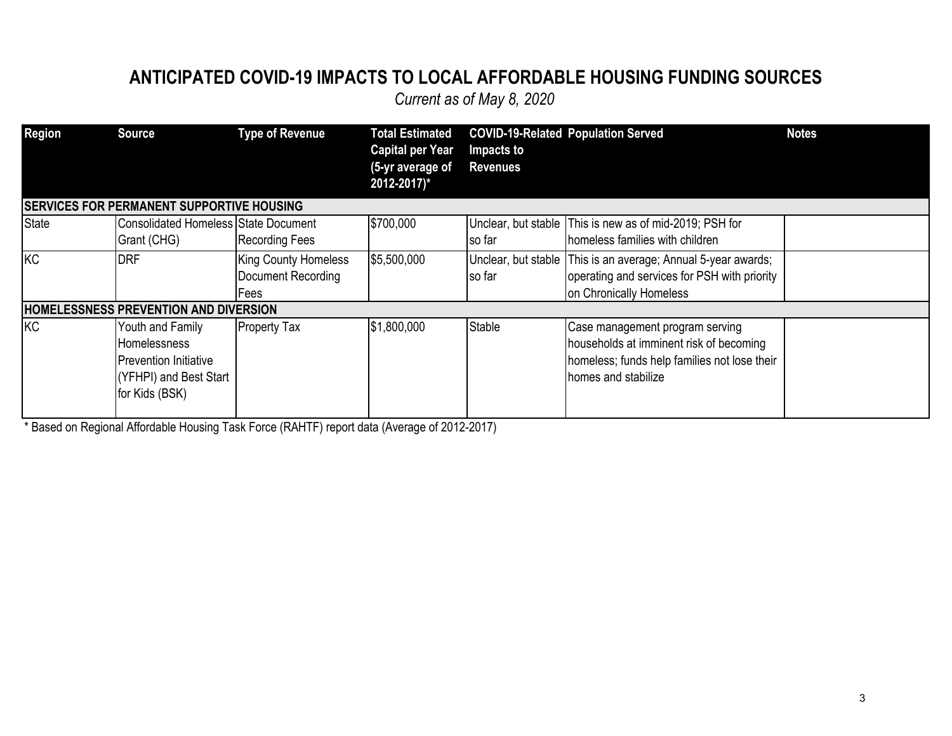#### **ANTICIPATED COVID-19 IMPACTS TO LOCAL AFFORDABLE HOUSING FUNDING SOURCES**

*Current as of May 8, 2020*

| <b>Region</b> | <b>Source</b>                                                                                                | <b>Type of Revenue</b>                                    | <b>Total Estimated</b><br><b>Capital per Year</b><br>(5-yr average of<br>2012-2017)* | Impacts to<br><b>Revenues</b> | <b>COVID-19-Related Population Served</b>                                                                                                         | <b>Notes</b> |
|---------------|--------------------------------------------------------------------------------------------------------------|-----------------------------------------------------------|--------------------------------------------------------------------------------------|-------------------------------|---------------------------------------------------------------------------------------------------------------------------------------------------|--------------|
|               | <b>SERVICES FOR PERMANENT SUPPORTIVE HOUSING</b>                                                             |                                                           |                                                                                      |                               |                                                                                                                                                   |              |
| <b>State</b>  | <b>Consolidated Homeless State Document</b><br>Grant (CHG)                                                   | <b>Recording Fees</b>                                     | \$700,000                                                                            | so far                        | Unclear, but stable This is new as of mid-2019; PSH for<br>homeless families with children                                                        |              |
| KC            | <b>DRF</b>                                                                                                   | <b>King County Homeless</b><br>Document Recording<br>Fees | \$5,500,000                                                                          | so far                        | Unclear, but stable This is an average; Annual 5-year awards;<br>operating and services for PSH with priority<br>on Chronically Homeless          |              |
|               | <b>HOMELESSNESS PREVENTION AND DIVERSION</b>                                                                 |                                                           |                                                                                      |                               |                                                                                                                                                   |              |
| KC            | Youth and Family<br>Homelessness<br><b>Prevention Initiative</b><br>(YFHPI) and Best Start<br>for Kids (BSK) | <b>Property Tax</b>                                       | \$1,800,000                                                                          | Stable                        | Case management program serving<br>households at imminent risk of becoming<br>homeless; funds help families not lose their<br>homes and stabilize |              |

\* Based on Regional Affordable Housing Task Force (RAHTF) report data (Average of 2012-2017)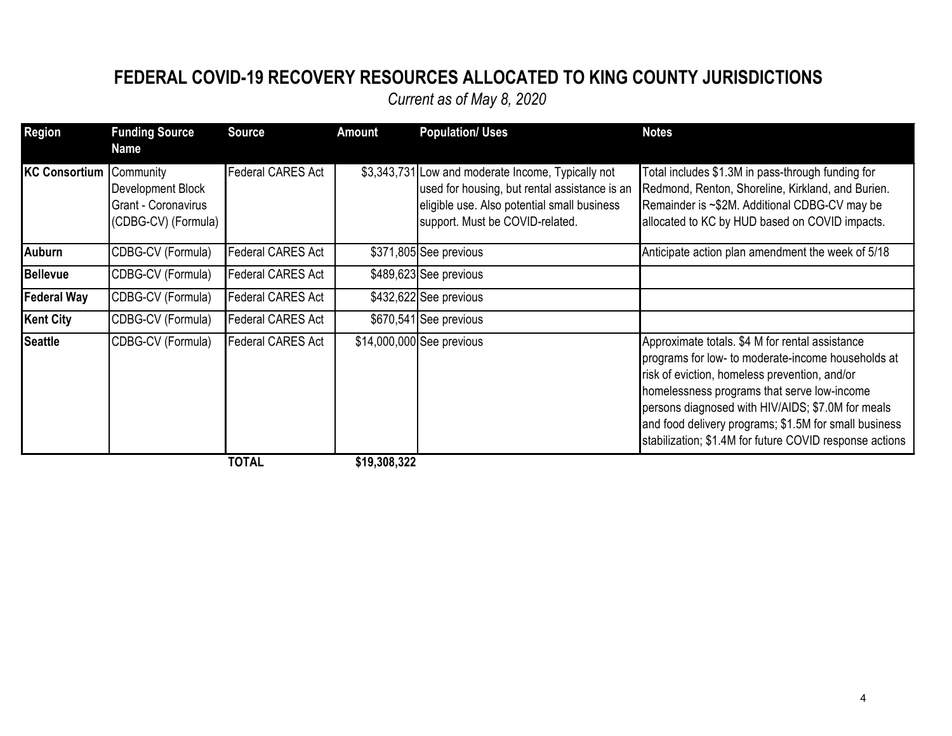### **FEDERAL COVID-19 RECOVERY RESOURCES ALLOCATED TO KING COUNTY JURISDICTIONS**

| <b>Region</b>           | <b>Funding Source</b><br><b>Name</b>                            | <b>Source</b>            | <b>Amount</b> | <b>Population/ Uses</b>                                                                                                                                                               | <b>Notes</b>                                                                                                                                                                                                                                                                                                                                                                   |
|-------------------------|-----------------------------------------------------------------|--------------------------|---------------|---------------------------------------------------------------------------------------------------------------------------------------------------------------------------------------|--------------------------------------------------------------------------------------------------------------------------------------------------------------------------------------------------------------------------------------------------------------------------------------------------------------------------------------------------------------------------------|
| KC Consortium Community | Development Block<br>Grant - Coronavirus<br>(CDBG-CV) (Formula) | Federal CARES Act        |               | \$3,343,731 Low and moderate Income, Typically not<br>used for housing, but rental assistance is an<br>eligible use. Also potential small business<br>support. Must be COVID-related. | Total includes \$1.3M in pass-through funding for<br>Redmond, Renton, Shoreline, Kirkland, and Burien.<br>Remainder is ~\$2M. Additional CDBG-CV may be<br>allocated to KC by HUD based on COVID impacts.                                                                                                                                                                      |
| Auburn                  | CDBG-CV (Formula)                                               | <b>Federal CARES Act</b> |               | \$371,805 See previous                                                                                                                                                                | Anticipate action plan amendment the week of 5/18                                                                                                                                                                                                                                                                                                                              |
| Bellevue                | CDBG-CV (Formula)                                               | Federal CARES Act        |               | \$489,623 See previous                                                                                                                                                                |                                                                                                                                                                                                                                                                                                                                                                                |
| <b>Federal Way</b>      | CDBG-CV (Formula)                                               | Federal CARES Act        |               | \$432,622 See previous                                                                                                                                                                |                                                                                                                                                                                                                                                                                                                                                                                |
| Kent City               | CDBG-CV (Formula)                                               | Federal CARES Act        |               | \$670,541 See previous                                                                                                                                                                |                                                                                                                                                                                                                                                                                                                                                                                |
| Seattle                 | CDBG-CV (Formula)                                               | Federal CARES Act        |               | \$14,000,000 See previous                                                                                                                                                             | Approximate totals. \$4 M for rental assistance<br>programs for low- to moderate-income households at<br>risk of eviction, homeless prevention, and/or<br>homelessness programs that serve low-income<br>persons diagnosed with HIV/AIDS; \$7.0M for meals<br>and food delivery programs; \$1.5M for small business<br>stabilization; \$1.4M for future COVID response actions |
|                         |                                                                 | <b>TOTAL</b>             | \$19,308,322  |                                                                                                                                                                                       |                                                                                                                                                                                                                                                                                                                                                                                |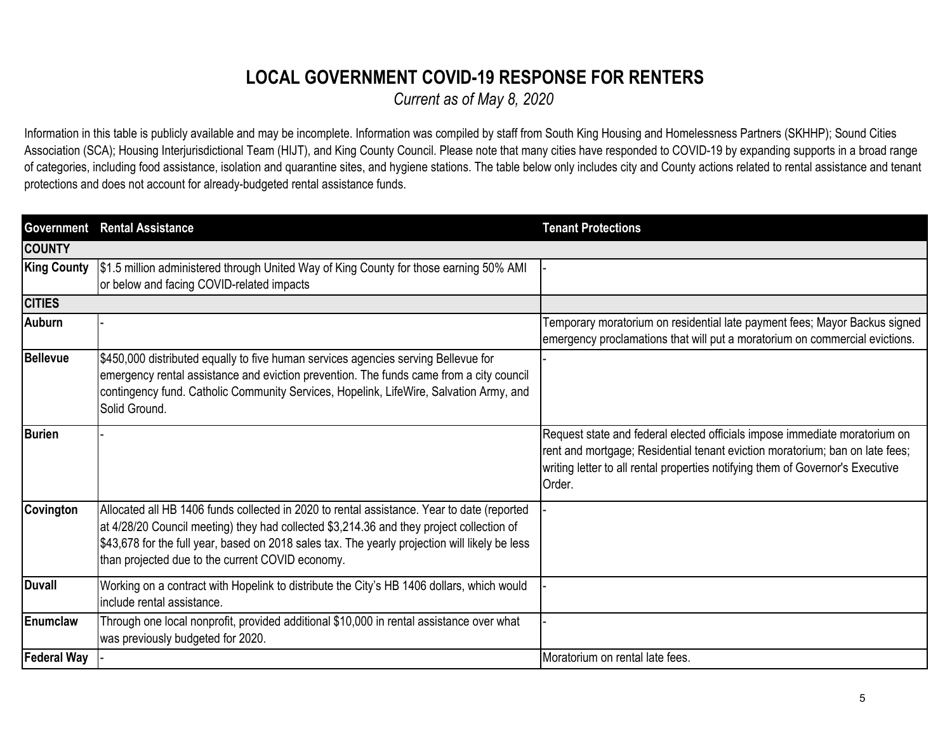## **LOCAL GOVERNMENT COVID-19 RESPONSE FOR RENTERS**

*Current as of May 8, 2020*

Information in this table is publicly available and may be incomplete. Information was compiled by staff from South King Housing and Homelessness Partners (SKHHP); Sound Cities Association (SCA); Housing Interjurisdictional Team (HIJT), and King County Council. Please note that many cities have responded to COVID-19 by expanding supports in a broad range of categories, including food assistance, isolation and quarantine sites, and hygiene stations. The table below only includes city and County actions related to rental assistance and tenant protections and does not account for already-budgeted rental assistance funds.

| <b>Government</b>  | <b>Rental Assistance</b>                                                                                                                                                                                                                                                                                                                     | <b>Tenant Protections</b>                                                                                                                                                                                                                              |
|--------------------|----------------------------------------------------------------------------------------------------------------------------------------------------------------------------------------------------------------------------------------------------------------------------------------------------------------------------------------------|--------------------------------------------------------------------------------------------------------------------------------------------------------------------------------------------------------------------------------------------------------|
| <b>COUNTY</b>      |                                                                                                                                                                                                                                                                                                                                              |                                                                                                                                                                                                                                                        |
| <b>King County</b> | \$1.5 million administered through United Way of King County for those earning 50% AMI<br>or below and facing COVID-related impacts                                                                                                                                                                                                          |                                                                                                                                                                                                                                                        |
| <b>CITIES</b>      |                                                                                                                                                                                                                                                                                                                                              |                                                                                                                                                                                                                                                        |
| <b>Auburn</b>      |                                                                                                                                                                                                                                                                                                                                              | Temporary moratorium on residential late payment fees; Mayor Backus signed<br>emergency proclamations that will put a moratorium on commercial evictions.                                                                                              |
| <b>Bellevue</b>    | \$450,000 distributed equally to five human services agencies serving Bellevue for<br>emergency rental assistance and eviction prevention. The funds came from a city council<br>contingency fund. Catholic Community Services, Hopelink, LifeWire, Salvation Army, and<br>Solid Ground.                                                     |                                                                                                                                                                                                                                                        |
| <b>Burien</b>      |                                                                                                                                                                                                                                                                                                                                              | Request state and federal elected officials impose immediate moratorium on<br>rent and mortgage; Residential tenant eviction moratorium; ban on late fees;<br>writing letter to all rental properties notifying them of Governor's Executive<br>Order. |
| Covington          | Allocated all HB 1406 funds collected in 2020 to rental assistance. Year to date (reported<br>at 4/28/20 Council meeting) they had collected \$3,214.36 and they project collection of<br>\$43,678 for the full year, based on 2018 sales tax. The yearly projection will likely be less<br>than projected due to the current COVID economy. |                                                                                                                                                                                                                                                        |
| <b>Duvall</b>      | Working on a contract with Hopelink to distribute the City's HB 1406 dollars, which would<br>include rental assistance.                                                                                                                                                                                                                      |                                                                                                                                                                                                                                                        |
| Enumclaw           | Through one local nonprofit, provided additional \$10,000 in rental assistance over what<br>was previously budgeted for 2020.                                                                                                                                                                                                                |                                                                                                                                                                                                                                                        |
| <b>Federal Way</b> |                                                                                                                                                                                                                                                                                                                                              | Moratorium on rental late fees.                                                                                                                                                                                                                        |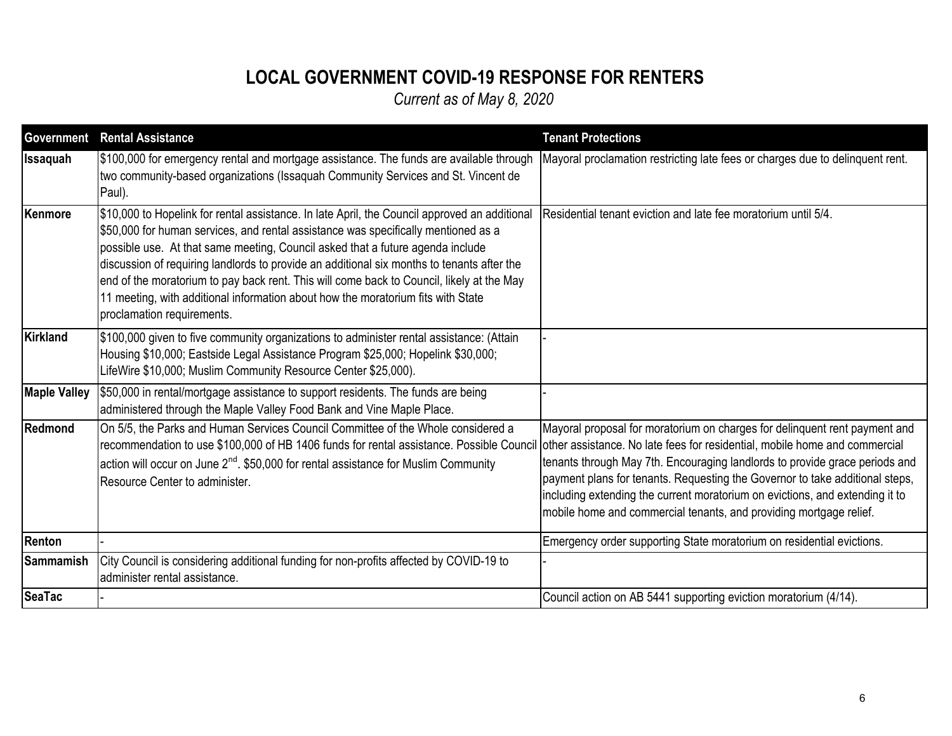# **LOCAL GOVERNMENT COVID-19 RESPONSE FOR RENTERS**

| <b>Government</b>   | <b>Rental Assistance</b>                                                                                                                                                                                                                                                                                                                                                                                                                                                                                                                                                           | <b>Tenant Protections</b>                                                                                                                                                                                                                                                                                                                                                                                                                                                     |
|---------------------|------------------------------------------------------------------------------------------------------------------------------------------------------------------------------------------------------------------------------------------------------------------------------------------------------------------------------------------------------------------------------------------------------------------------------------------------------------------------------------------------------------------------------------------------------------------------------------|-------------------------------------------------------------------------------------------------------------------------------------------------------------------------------------------------------------------------------------------------------------------------------------------------------------------------------------------------------------------------------------------------------------------------------------------------------------------------------|
| <b>Issaquah</b>     | \$100,000 for emergency rental and mortgage assistance. The funds are available through<br>two community-based organizations (Issaquah Community Services and St. Vincent de<br>Paul).                                                                                                                                                                                                                                                                                                                                                                                             | Mayoral proclamation restricting late fees or charges due to delinquent rent.                                                                                                                                                                                                                                                                                                                                                                                                 |
| Kenmore             | \$10,000 to Hopelink for rental assistance. In late April, the Council approved an additional<br>\$50,000 for human services, and rental assistance was specifically mentioned as a<br>possible use. At that same meeting, Council asked that a future agenda include<br>discussion of requiring landlords to provide an additional six months to tenants after the<br>end of the moratorium to pay back rent. This will come back to Council, likely at the May<br>11 meeting, with additional information about how the moratorium fits with State<br>proclamation requirements. | Residential tenant eviction and late fee moratorium until 5/4.                                                                                                                                                                                                                                                                                                                                                                                                                |
| <b>Kirkland</b>     | \$100,000 given to five community organizations to administer rental assistance: (Attain<br>Housing \$10,000; Eastside Legal Assistance Program \$25,000; Hopelink \$30,000;<br>LifeWire \$10,000; Muslim Community Resource Center \$25,000).                                                                                                                                                                                                                                                                                                                                     |                                                                                                                                                                                                                                                                                                                                                                                                                                                                               |
| <b>Maple Valley</b> | \$50,000 in rental/mortgage assistance to support residents. The funds are being<br>administered through the Maple Valley Food Bank and Vine Maple Place.                                                                                                                                                                                                                                                                                                                                                                                                                          |                                                                                                                                                                                                                                                                                                                                                                                                                                                                               |
| Redmond             | On 5/5, the Parks and Human Services Council Committee of the Whole considered a<br>recommendation to use \$100,000 of HB 1406 funds for rental assistance. Possible Council<br>action will occur on June $2^{nd}$ . \$50,000 for rental assistance for Muslim Community<br>Resource Center to administer.                                                                                                                                                                                                                                                                         | Mayoral proposal for moratorium on charges for delinquent rent payment and<br>other assistance. No late fees for residential, mobile home and commercial<br>tenants through May 7th. Encouraging landlords to provide grace periods and<br>payment plans for tenants. Requesting the Governor to take additional steps,<br>including extending the current moratorium on evictions, and extending it to<br>mobile home and commercial tenants, and providing mortgage relief. |
| Renton              |                                                                                                                                                                                                                                                                                                                                                                                                                                                                                                                                                                                    | Emergency order supporting State moratorium on residential evictions.                                                                                                                                                                                                                                                                                                                                                                                                         |
| <b>Sammamish</b>    | City Council is considering additional funding for non-profits affected by COVID-19 to<br>administer rental assistance.                                                                                                                                                                                                                                                                                                                                                                                                                                                            |                                                                                                                                                                                                                                                                                                                                                                                                                                                                               |
| <b>SeaTac</b>       |                                                                                                                                                                                                                                                                                                                                                                                                                                                                                                                                                                                    | Council action on AB 5441 supporting eviction moratorium (4/14).                                                                                                                                                                                                                                                                                                                                                                                                              |